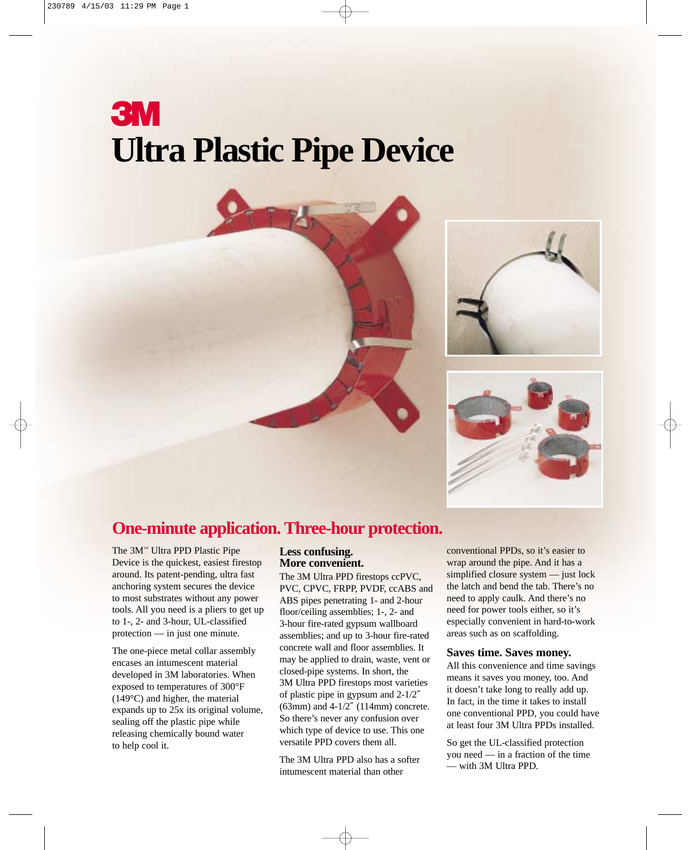# **3M Ultra Plastic Pipe Device**





### **One-minute application. Three-hour protection.**

The 3M™ Ultra PPD Plastic Pipe Device is the quickest, easiest firestop around. Its patent-pending, ultra fast anchoring system secures the device to most substrates without any power tools. All you need is a pliers to get up to 1-, 2- and 3-hour, UL-classified protection — in just one minute.

The one-piece metal collar assembly encases an intumescent material developed in 3M laboratories. When exposed to temperatures of 300°F (149°C) and higher, the material expands up to 25x its original volume, sealing off the plastic pipe while releasing chemically bound water to help cool it.

### **Less confusing. More convenient.**

The 3M Ultra PPD firestops ccPVC, PVC, CPVC, FRPP, PVDF, ccABS and ABS pipes penetrating 1- and 2-hour floor/ceiling assemblies; 1-, 2- and 3-hour fire-rated gypsum wallboard assemblies; and up to 3-hour fire-rated concrete wall and floor assemblies. It may be applied to drain, waste, vent or closed-pipe systems. In short, the 3M Ultra PPD firestops most varieties of plastic pipe in gypsum and 2-1/2″ (63mm) and 4-1/2″ (114mm) concrete. So there's never any confusion over which type of device to use. This one versatile PPD covers them all.

The 3M Ultra PPD also has a softer intumescent material than other

conventional PPDs, so it's easier to wrap around the pipe. And it has a simplified closure system — just lock the latch and bend the tab. There's no need to apply caulk. And there's no need for power tools either, so it's especially convenient in hard-to-work areas such as on scaffolding.

### **Saves time. Saves money.**

All this convenience and time savings means it saves you money, too. And it doesn't take long to really add up. In fact, in the time it takes to install one conventional PPD, you could have at least four 3M Ultra PPDs installed.

So get the UL-classified protection you need — in a fraction of the time — with 3M Ultra PPD.